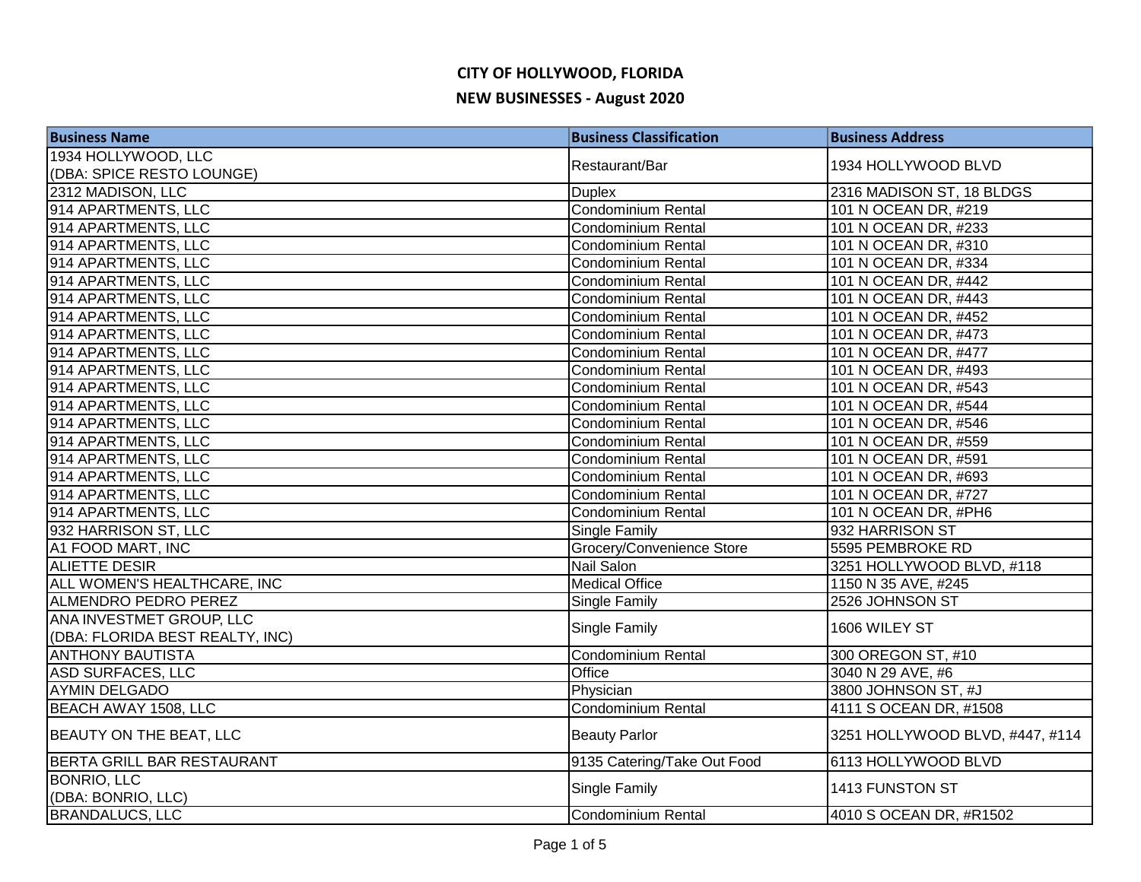## **CITY OF HOLLYWOOD, FLORIDA NEW BUSINESSES - August 2020**

| <b>Business Name</b>            | <b>Business Classification</b> | <b>Business Address</b>         |
|---------------------------------|--------------------------------|---------------------------------|
| 1934 HOLLYWOOD, LLC             | Restaurant/Bar                 | 1934 HOLLYWOOD BLVD             |
| (DBA: SPICE RESTO LOUNGE)       |                                |                                 |
| 2312 MADISON, LLC               | <b>Duplex</b>                  | 2316 MADISON ST, 18 BLDGS       |
| 914 APARTMENTS, LLC             | <b>Condominium Rental</b>      | 101 N OCEAN DR, #219            |
| 914 APARTMENTS, LLC             | Condominium Rental             | 101 N OCEAN DR, #233            |
| 914 APARTMENTS, LLC             | Condominium Rental             | 101 N OCEAN DR, #310            |
| 914 APARTMENTS, LLC             | <b>Condominium Rental</b>      | 101 N OCEAN DR, #334            |
| 914 APARTMENTS, LLC             | <b>Condominium Rental</b>      | 101 N OCEAN DR, #442            |
| 914 APARTMENTS, LLC             | Condominium Rental             | 101 N OCEAN DR, #443            |
| 914 APARTMENTS, LLC             | <b>Condominium Rental</b>      | 101 N OCEAN DR, #452            |
| 914 APARTMENTS, LLC             | Condominium Rental             | 101 N OCEAN DR, #473            |
| 914 APARTMENTS, LLC             | Condominium Rental             | 101 N OCEAN DR, #477            |
| 914 APARTMENTS, LLC             | Condominium Rental             | 101 N OCEAN DR, #493            |
| 914 APARTMENTS, LLC             | <b>Condominium Rental</b>      | 101 N OCEAN DR, #543            |
| 914 APARTMENTS, LLC             | Condominium Rental             | 101 N OCEAN DR, #544            |
| 914 APARTMENTS, LLC             | Condominium Rental             | 101 N OCEAN DR, #546            |
| 914 APARTMENTS, LLC             | Condominium Rental             | 101 N OCEAN DR, #559            |
| 914 APARTMENTS, LLC             | Condominium Rental             | 101 N OCEAN DR, #591            |
| 914 APARTMENTS, LLC             | Condominium Rental             | 101 N OCEAN DR, #693            |
| 914 APARTMENTS, LLC             | Condominium Rental             | 101 N OCEAN DR, #727            |
| 914 APARTMENTS, LLC             | <b>Condominium Rental</b>      | 101 N OCEAN DR, #PH6            |
| 932 HARRISON ST, LLC            | Single Family                  | 932 HARRISON ST                 |
| A1 FOOD MART, INC               | Grocery/Convenience Store      | 5595 PEMBROKE RD                |
| <b>ALIETTE DESIR</b>            | Nail Salon                     | 3251 HOLLYWOOD BLVD, #118       |
| ALL WOMEN'S HEALTHCARE, INC     | <b>Medical Office</b>          | 1150 N 35 AVE, #245             |
| <b>ALMENDRO PEDRO PEREZ</b>     | Single Family                  | 2526 JOHNSON ST                 |
| ANA INVESTMET GROUP, LLC        | Single Family                  | 1606 WILEY ST                   |
| (DBA: FLORIDA BEST REALTY, INC) |                                |                                 |
| <b>ANTHONY BAUTISTA</b>         | Condominium Rental             | 300 OREGON ST, #10              |
| <b>ASD SURFACES, LLC</b>        | Office                         | 3040 N 29 AVE, #6               |
| <b>AYMIN DELGADO</b>            | Physician                      | 3800 JOHNSON ST, #J             |
| <b>BEACH AWAY 1508, LLC</b>     | <b>Condominium Rental</b>      | 4111 S OCEAN DR, #1508          |
| <b>BEAUTY ON THE BEAT, LLC</b>  | <b>Beauty Parlor</b>           | 3251 HOLLYWOOD BLVD, #447, #114 |
| BERTA GRILL BAR RESTAURANT      | 9135 Catering/Take Out Food    | 6113 HOLLYWOOD BLVD             |
| <b>BONRIO, LLC</b>              |                                | 1413 FUNSTON ST                 |
| (DBA: BONRIO, LLC)              | Single Family                  |                                 |
| <b>BRANDALUCS, LLC</b>          | Condominium Rental             | 4010 S OCEAN DR, #R1502         |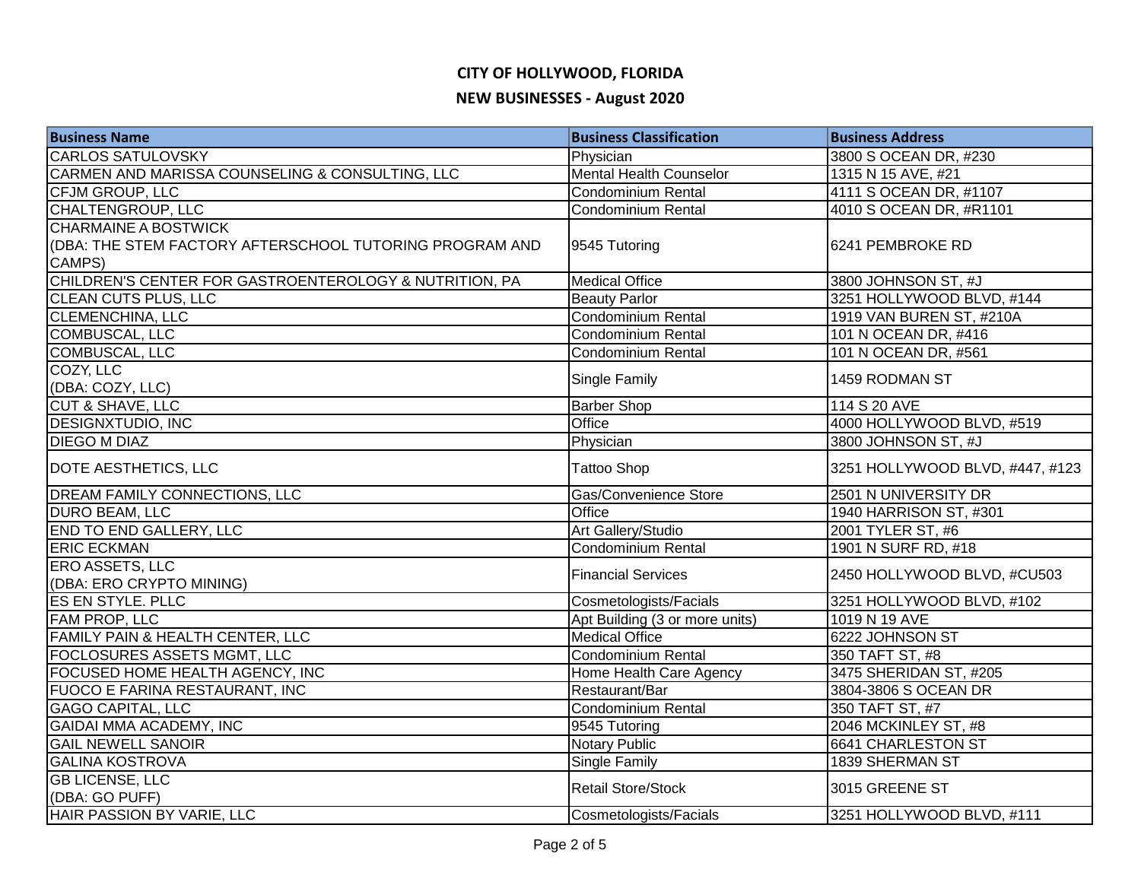### **CITY OF HOLLYWOOD, FLORIDA**

#### **NEW BUSINESSES - August 2020**

| <b>Business Name</b>                                    | <b>Business Classification</b> | <b>Business Address</b>         |
|---------------------------------------------------------|--------------------------------|---------------------------------|
| <b>CARLOS SATULOVSKY</b>                                | Physician                      | 3800 S OCEAN DR, #230           |
| CARMEN AND MARISSA COUNSELING & CONSULTING, LLC         | <b>Mental Health Counselor</b> | 1315 N 15 AVE, #21              |
| CFJM GROUP, LLC                                         | Condominium Rental             | 4111 S OCEAN DR, #1107          |
| <b>CHALTENGROUP, LLC</b>                                | Condominium Rental             | 4010 S OCEAN DR, #R1101         |
| <b>CHARMAINE A BOSTWICK</b>                             |                                |                                 |
| (DBA: THE STEM FACTORY AFTERSCHOOL TUTORING PROGRAM AND | 9545 Tutoring                  | 6241 PEMBROKE RD                |
| CAMPS)                                                  |                                |                                 |
| CHILDREN'S CENTER FOR GASTROENTEROLOGY & NUTRITION, PA  | <b>Medical Office</b>          | 3800 JOHNSON ST, #J             |
| <b>CLEAN CUTS PLUS, LLC</b>                             | <b>Beauty Parlor</b>           | 3251 HOLLYWOOD BLVD, #144       |
| <b>CLEMENCHINA, LLC</b>                                 | <b>Condominium Rental</b>      | 1919 VAN BUREN ST, #210A        |
| COMBUSCAL, LLC                                          | Condominium Rental             | 101 N OCEAN DR, #416            |
| COMBUSCAL, LLC                                          | <b>Condominium Rental</b>      | 101 N OCEAN DR, #561            |
| COZY, LLC                                               | Single Family                  | 1459 RODMAN ST                  |
| (DBA: COZY, LLC)                                        |                                |                                 |
| <b>CUT &amp; SHAVE, LLC</b>                             | <b>Barber Shop</b>             | 114 S 20 AVE                    |
| <b>DESIGNXTUDIO, INC</b>                                | Office                         | 4000 HOLLYWOOD BLVD, #519       |
| <b>DIEGO M DIAZ</b>                                     | Physician                      | 3800 JOHNSON ST, #J             |
| <b>DOTE AESTHETICS, LLC</b>                             | <b>Tattoo Shop</b>             | 3251 HOLLYWOOD BLVD, #447, #123 |
| <b>DREAM FAMILY CONNECTIONS, LLC</b>                    | Gas/Convenience Store          | 2501 N UNIVERSITY DR            |
| DURO BEAM, LLC                                          | Office                         | 1940 HARRISON ST, #301          |
| <b>END TO END GALLERY, LLC</b>                          | Art Gallery/Studio             | 2001 TYLER ST, #6               |
| <b>ERIC ECKMAN</b>                                      | Condominium Rental             | 1901 N SURF RD, #18             |
| <b>ERO ASSETS, LLC</b>                                  | <b>Financial Services</b>      | 2450 HOLLYWOOD BLVD, #CU503     |
| (DBA: ERO CRYPTO MINING)                                |                                |                                 |
| ES EN STYLE. PLLC                                       | Cosmetologists/Facials         | 3251 HOLLYWOOD BLVD, #102       |
| <b>FAM PROP, LLC</b>                                    | Apt Building (3 or more units) | 1019 N 19 AVE                   |
| FAMILY PAIN & HEALTH CENTER, LLC                        | <b>Medical Office</b>          | 6222 JOHNSON ST                 |
| <b>FOCLOSURES ASSETS MGMT, LLC</b>                      | Condominium Rental             | 350 TAFT ST, #8                 |
| FOCUSED HOME HEALTH AGENCY, INC                         | Home Health Care Agency        | 3475 SHERIDAN ST, #205          |
| <b>FUOCO E FARINA RESTAURANT, INC</b>                   | Restaurant/Bar                 | 3804-3806 S OCEAN DR            |
| <b>GAGO CAPITAL, LLC</b>                                | Condominium Rental             | 350 TAFT ST, #7                 |
| <b>GAIDAI MMA ACADEMY, INC</b>                          | 9545 Tutoring                  | 2046 MCKINLEY ST, #8            |
| <b>GAIL NEWELL SANOIR</b>                               | <b>Notary Public</b>           | 6641 CHARLESTON ST              |
| <b>GALINA KOSTROVA</b>                                  | Single Family                  | 1839 SHERMAN ST                 |
| <b>GB LICENSE, LLC</b>                                  | <b>Retail Store/Stock</b>      | 3015 GREENE ST                  |
| (DBA: GO PUFF)                                          |                                |                                 |
| <b>HAIR PASSION BY VARIE, LLC</b>                       | Cosmetologists/Facials         | 3251 HOLLYWOOD BLVD, #111       |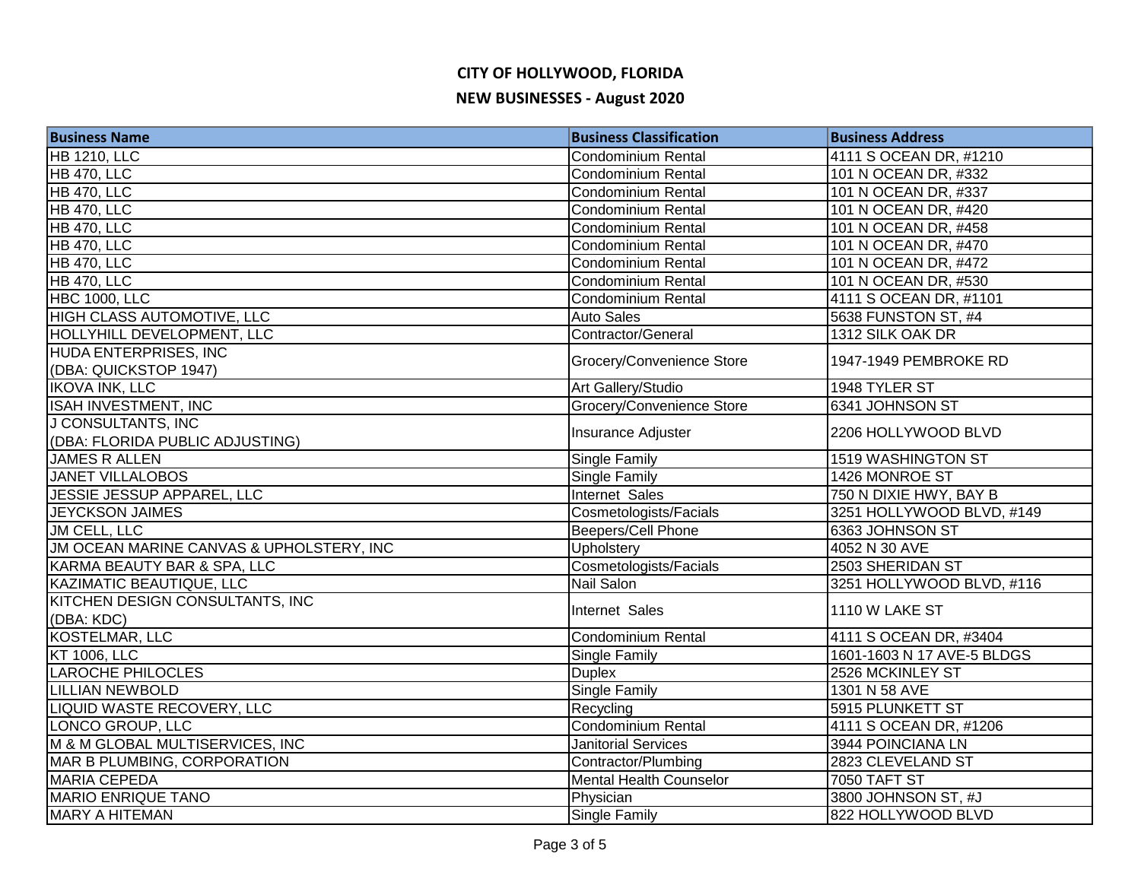# **CITY OF HOLLYWOOD, FLORIDA NEW BUSINESSES - August 2020**

| <b>Business Name</b>                     | <b>Business Classification</b> | <b>Business Address</b>    |
|------------------------------------------|--------------------------------|----------------------------|
| <b>HB 1210, LLC</b>                      | <b>Condominium Rental</b>      | 4111 S OCEAN DR, #1210     |
| <b>HB 470, LLC</b>                       | <b>Condominium Rental</b>      | 101 N OCEAN DR, #332       |
| <b>HB 470, LLC</b>                       | <b>Condominium Rental</b>      | 101 N OCEAN DR, #337       |
| <b>HB 470, LLC</b>                       | <b>Condominium Rental</b>      | 101 N OCEAN DR, #420       |
| <b>HB 470, LLC</b>                       | Condominium Rental             | 101 N OCEAN DR, #458       |
| <b>HB 470, LLC</b>                       | <b>Condominium Rental</b>      | 101 N OCEAN DR, #470       |
| <b>HB 470, LLC</b>                       | <b>Condominium Rental</b>      | 101 N OCEAN DR, #472       |
| <b>HB 470, LLC</b>                       | Condominium Rental             | 101 N OCEAN DR, #530       |
| <b>HBC 1000, LLC</b>                     | Condominium Rental             | 4111 S OCEAN DR, #1101     |
| HIGH CLASS AUTOMOTIVE, LLC               | <b>Auto Sales</b>              | 5638 FUNSTON ST, #4        |
| HOLLYHILL DEVELOPMENT, LLC               | Contractor/General             | 1312 SILK OAK DR           |
| HUDA ENTERPRISES, INC                    |                                | 1947-1949 PEMBROKE RD      |
| (DBA: QUICKSTOP 1947)                    | Grocery/Convenience Store      |                            |
| <b>IKOVA INK, LLC</b>                    | Art Gallery/Studio             | 1948 TYLER ST              |
| ISAH INVESTMENT, INC                     | Grocery/Convenience Store      | 6341 JOHNSON ST            |
| J CONSULTANTS, INC                       | Insurance Adjuster             | 2206 HOLLYWOOD BLVD        |
| (DBA: FLORIDA PUBLIC ADJUSTING)          |                                |                            |
| JAMES R ALLEN                            | Single Family                  | 1519 WASHINGTON ST         |
| <b>JANET VILLALOBOS</b>                  | Single Family                  | 1426 MONROE ST             |
| JESSIE JESSUP APPAREL, LLC               | Internet Sales                 | 750 N DIXIE HWY, BAY B     |
| <b>JEYCKSON JAIMES</b>                   | Cosmetologists/Facials         | 3251 HOLLYWOOD BLVD, #149  |
| JM CELL, LLC                             | Beepers/Cell Phone             | 6363 JOHNSON ST            |
| JM OCEAN MARINE CANVAS & UPHOLSTERY, INC | Upholstery                     | 4052 N 30 AVE              |
| KARMA BEAUTY BAR & SPA, LLC              | Cosmetologists/Facials         | 2503 SHERIDAN ST           |
| <b>KAZIMATIC BEAUTIQUE, LLC</b>          | Nail Salon                     | 3251 HOLLYWOOD BLVD, #116  |
| KITCHEN DESIGN CONSULTANTS, INC          | Internet Sales                 | 1110 W LAKE ST             |
| (DBA: KDC)                               |                                |                            |
| KOSTELMAR, LLC                           | Condominium Rental             | 4111 S OCEAN DR, #3404     |
| <b>KT 1006, LLC</b>                      | Single Family                  | 1601-1603 N 17 AVE-5 BLDGS |
| <b>LAROCHE PHILOCLES</b>                 | <b>Duplex</b>                  | 2526 MCKINLEY ST           |
| <b>LILLIAN NEWBOLD</b>                   | Single Family                  | 1301 N 58 AVE              |
| <b>LIQUID WASTE RECOVERY, LLC</b>        | Recycling                      | 5915 PLUNKETT ST           |
| LONCO GROUP, LLC                         | <b>Condominium Rental</b>      | 4111 S OCEAN DR, #1206     |
| M & M GLOBAL MULTISERVICES, INC          | <b>Janitorial Services</b>     | 3944 POINCIANA LN          |
| MAR B PLUMBING, CORPORATION              | Contractor/Plumbing            | 2823 CLEVELAND ST          |
| <b>MARIA CEPEDA</b>                      | <b>Mental Health Counselor</b> | <b>7050 TAFT ST</b>        |
| <b>MARIO ENRIQUE TANO</b>                | Physician                      | 3800 JOHNSON ST, #J        |
| <b>MARY A HITEMAN</b>                    | Single Family                  | 822 HOLLYWOOD BLVD         |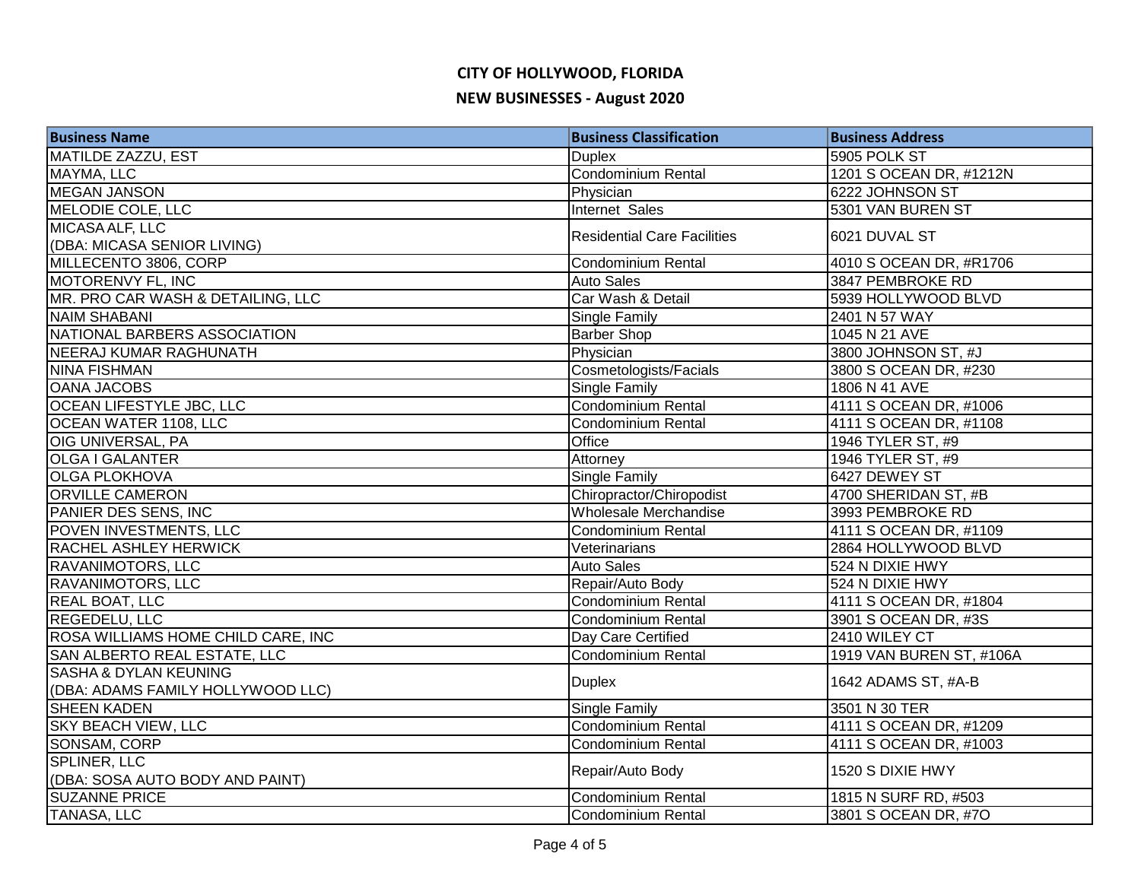# **CITY OF HOLLYWOOD, FLORIDA**

## **NEW BUSINESSES - August 2020**

| <b>Business Name</b>               | <b>Business Classification</b>     | <b>Business Address</b>  |
|------------------------------------|------------------------------------|--------------------------|
| <b>MATILDE ZAZZU, EST</b>          | <b>Duplex</b>                      | 5905 POLK ST             |
| MAYMA, LLC                         | Condominium Rental                 | 1201 S OCEAN DR, #1212N  |
| <b>MEGAN JANSON</b>                | Physician                          | 6222 JOHNSON ST          |
| MELODIE COLE, LLC                  | <b>Internet Sales</b>              | 5301 VAN BUREN ST        |
| MICASA ALF, LLC                    | <b>Residential Care Facilities</b> | 6021 DUVAL ST            |
| (DBA: MICASA SENIOR LIVING)        |                                    |                          |
| MILLECENTO 3806, CORP              | <b>Condominium Rental</b>          | 4010 S OCEAN DR, #R1706  |
| <b>MOTORENVY FL, INC</b>           | <b>Auto Sales</b>                  | 3847 PEMBROKE RD         |
| MR. PRO CAR WASH & DETAILING, LLC  | Car Wash & Detail                  | 5939 HOLLYWOOD BLVD      |
| <b>NAIM SHABANI</b>                | <b>Single Family</b>               | 2401 N 57 WAY            |
| NATIONAL BARBERS ASSOCIATION       | <b>Barber Shop</b>                 | 1045 N 21 AVE            |
| NEERAJ KUMAR RAGHUNATH             | Physician                          | 3800 JOHNSON ST, #J      |
| NINA FISHMAN                       | Cosmetologists/Facials             | 3800 S OCEAN DR, #230    |
| <b>OANA JACOBS</b>                 | Single Family                      | 1806 N 41 AVE            |
| <b>OCEAN LIFESTYLE JBC, LLC</b>    | Condominium Rental                 | 4111 S OCEAN DR, #1006   |
| OCEAN WATER 1108, LLC              | Condominium Rental                 | 4111 S OCEAN DR, #1108   |
| OIG UNIVERSAL, PA                  | Office                             | 1946 TYLER ST, #9        |
| <b>OLGA I GALANTER</b>             | Attorney                           | 1946 TYLER ST, #9        |
| <b>OLGA PLOKHOVA</b>               | <b>Single Family</b>               | 6427 DEWEY ST            |
| <b>ORVILLE CAMERON</b>             | Chiropractor/Chiropodist           | 4700 SHERIDAN ST, #B     |
| PANIER DES SENS, INC               | Wholesale Merchandise              | 3993 PEMBROKE RD         |
| POVEN INVESTMENTS, LLC             | Condominium Rental                 | 4111 S OCEAN DR, #1109   |
| RACHEL ASHLEY HERWICK              | Veterinarians                      | 2864 HOLLYWOOD BLVD      |
| <b>RAVANIMOTORS, LLC</b>           | <b>Auto Sales</b>                  | 524 N DIXIE HWY          |
| <b>RAVANIMOTORS, LLC</b>           | Repair/Auto Body                   | 524 N DIXIE HWY          |
| <b>REAL BOAT, LLC</b>              | Condominium Rental                 | 4111 S OCEAN DR, #1804   |
| <b>REGEDELU, LLC</b>               | Condominium Rental                 | 3901 S OCEAN DR, #3S     |
| ROSA WILLIAMS HOME CHILD CARE, INC | Day Care Certified                 | 2410 WILEY CT            |
| SAN ALBERTO REAL ESTATE, LLC       | Condominium Rental                 | 1919 VAN BUREN ST, #106A |
| <b>SASHA &amp; DYLAN KEUNING</b>   | <b>Duplex</b>                      | 1642 ADAMS ST, #A-B      |
| (DBA: ADAMS FAMILY HOLLYWOOD LLC)  |                                    |                          |
| <b>SHEEN KADEN</b>                 | Single Family                      | 3501 N 30 TER            |
| <b>SKY BEACH VIEW, LLC</b>         | <b>Condominium Rental</b>          | 4111 S OCEAN DR, #1209   |
| SONSAM, CORP                       | <b>Condominium Rental</b>          | 4111 S OCEAN DR, #1003   |
| SPLINER, LLC                       | Repair/Auto Body                   | 1520 S DIXIE HWY         |
| (DBA: SOSA AUTO BODY AND PAINT)    |                                    |                          |
| <b>SUZANNE PRICE</b>               | Condominium Rental                 | 1815 N SURF RD, #503     |
| <b>TANASA, LLC</b>                 | Condominium Rental                 | 3801 S OCEAN DR, #7O     |